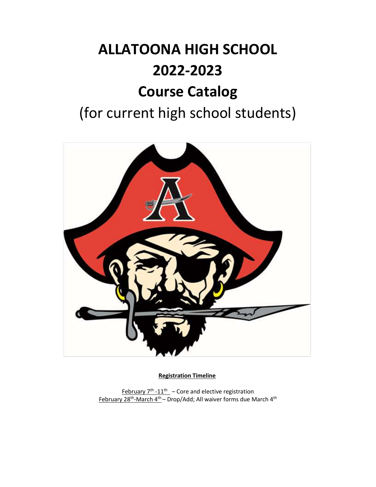# **ALLATOONA HIGH SCHOOL 2022-2023 Course Catalog** (for current high school students)



**Registration Timeline**

February  $7<sup>th</sup> - 11<sup>th</sup>$  – Core and elective registration February 28<sup>th</sup>-March 4<sup>th</sup> – Drop/Add; All waiver forms due March 4<sup>th</sup>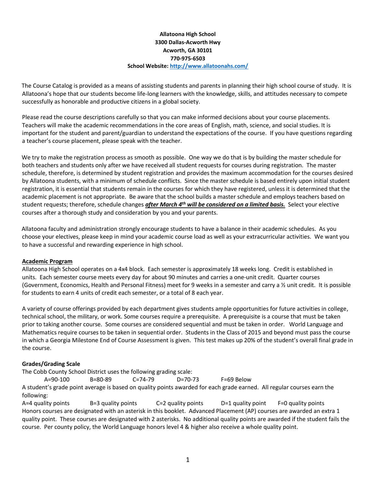# **Allatoona High School 3300 Dallas-Acworth Hwy Acworth, GA 30101 770-975-6503 School Website:<http://www.allatoonahs.com/>**

The Course Catalog is provided as a means of assisting students and parents in planning their high school course of study. It is Allatoona's hope that our students become life-long learners with the knowledge, skills, and attitudes necessary to compete successfully as honorable and productive citizens in a global society.

Please read the course descriptions carefully so that you can make informed decisions about your course placements. Teachers will make the academic recommendations in the core areas of English, math, science, and social studies. It is important for the student and parent/guardian to understand the expectations of the course. If you have questions regarding a teacher's course placement, please speak with the teacher.

We try to make the registration process as smooth as possible. One way we do that is by building the master schedule for both teachers and students only after we have received all student requests for courses during registration. The master schedule, therefore, is determined by student registration and provides the maximum accommodation for the courses desired by Allatoona students, with a minimum of schedule conflicts. Since the master schedule is based entirely upon initial student registration, it is essential that students remain in the courses for which they have registered, unless it is determined that the academic placement is not appropriate. Be aware that the school builds a master schedule and employs teachers based on student requests; therefore, schedule changes *after March 4 th will be considered on a limited basis.* Select your elective courses after a thorough study and consideration by you and your parents.

Allatoona faculty and administration strongly encourage students to have a balance in their academic schedules. As you choose your electives, please keep in mind your academic course load as well as your extracurricular activities. We want you to have a successful and rewarding experience in high school.

#### **Academic Program**

Allatoona High School operates on a 4x4 block. Each semester is approximately 18 weeks long. Credit is established in units. Each semester course meets every day for about 90 minutes and carries a one-unit credit. Quarter courses (Government, Economics, Health and Personal Fitness) meet for 9 weeks in a semester and carry a ½ unit credit. It is possible for students to earn 4 units of credit each semester, or a total of 8 each year.

A variety of course offerings provided by each department gives students ample opportunities for future activities in college, technical school, the military, or work. Some courses require a prerequisite. A prerequisite is a course that must be taken prior to taking another course. Some courses are considered sequential and must be taken in order. World Language and Mathematics require courses to be taken in sequential order. Students in the Class of 2015 and beyond must pass the course in which a Georgia Milestone End of Course Assessment is given. This test makes up 20% of the student's overall final grade in the course.

# **Grades/Grading Scale**

The Cobb County School District uses the following grading scale:

A=90-100 B=80-89 C=74-79 D=70-73 F=69 Below

A student's grade point average is based on quality points awarded for each grade earned. All regular courses earn the following:

 $A=4$  quality points B=3 quality points C=2 quality points D=1 quality point F=0 quality points Honors courses are designated with an asterisk in this booklet. Advanced Placement (AP) courses are awarded an extra 1 quality point. These courses are designated with 2 asterisks. No additional quality points are awarded if the student fails the course. Per county policy, the World Language honors level 4 & higher also receive a whole quality point.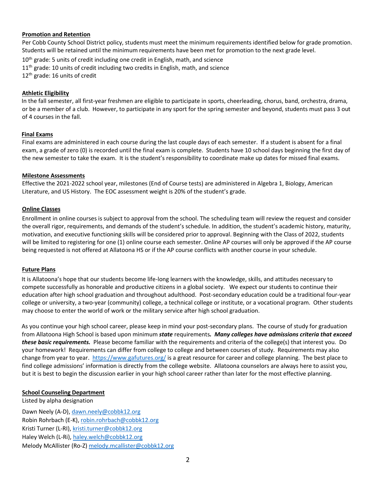### **Promotion and Retention**

Per Cobb County School District policy, students must meet the minimum requirements identified below for grade promotion. Students will be retained until the minimum requirements have been met for promotion to the next grade level.

10<sup>th</sup> grade: 5 units of credit including one credit in English, math, and science

11<sup>th</sup> grade: 10 units of credit including two credits in English, math, and science

12<sup>th</sup> grade: 16 units of credit

# **Athletic Eligibility**

In the fall semester, all first-year freshmen are eligible to participate in sports, cheerleading, chorus, band, orchestra, drama, or be a member of a club. However, to participate in any sport for the spring semester and beyond, students must pass 3 out of 4 courses in the fall.

### **Final Exams**

Final exams are administered in each course during the last couple days of each semester. If a student is absent for a final exam, a grade of zero (0) is recorded until the final exam is complete. Students have 10 school days beginning the first day of the new semester to take the exam. It is the student's responsibility to coordinate make up dates for missed final exams.

### **Milestone Assessments**

Effective the 2021-2022 school year, milestones (End of Course tests) are administered in Algebra 1, Biology, American Literature, and US History. The EOC assessment weight is 20% of the student's grade.

### **Online Classes**

Enrollment in online courses is subject to approval from the school. The scheduling team will review the request and consider the overall rigor, requirements, and demands of the student's schedule. In addition, the student's academic history, maturity, motivation, and executive functioning skills will be considered prior to approval. Beginning with the Class of 2022, students will be limited to registering for one (1) online course each semester. Online AP courses will only be approved if the AP course being requested is not offered at Allatoona HS or if the AP course conflicts with another course in your schedule.

#### **Future Plans**

It is Allatoona's hope that our students become life-long learners with the knowledge, skills, and attitudes necessary to compete successfully as honorable and productive citizens in a global society. We expect our students to continue their education after high school graduation and throughout adulthood. Post-secondary education could be a traditional four-year college or university, a two-year (community) college, a technical college or institute, or a vocational program. Other students may choose to enter the world of work or the military service after high school graduation.

As you continue your high school career, please keep in mind your post-secondary plans. The course of study for graduation from Allatoona High School is based upon minimum *state* requirements*. Many colleges have admissions criteria that exceed these basic requirements.* Please become familiar with the requirements and criteria of the college(s) that interest you. Do your homework! Requirements can differ from college to college and between courses of study. Requirements may also change from year to year.<https://www.gafutures.org/> is a great resource for career and college planning. The best place to find college admissions' information is directly from the college website. Allatoona counselors are always here to assist you, but it is best to begin the discussion earlier in your high school career rather than later for the most effective planning.

# **School Counseling Department**

Listed by alpha designation Dawn Neely (A-D), [dawn.neely@cobbk12.org](mailto:dawn.neely@cobbk12.org) Robin Rohrbach (E-K)[, robin.rohrbach@cobbk12.org](mailto:robin.rohrbach@cobbk12.org) Kristi Turner (L-RI)[, kristi.turner@cobbk12.org](mailto:kristi.turner@cobbk12.org) Haley Welch (L-Ri)[, haley.welch@cobbk12.org](mailto:haley.welch@cobbk12.org) Melody McAllister (Ro-Z[\) melody.mcallister@cobbk12.org](mailto:melody.mcallister@cobbk12.org)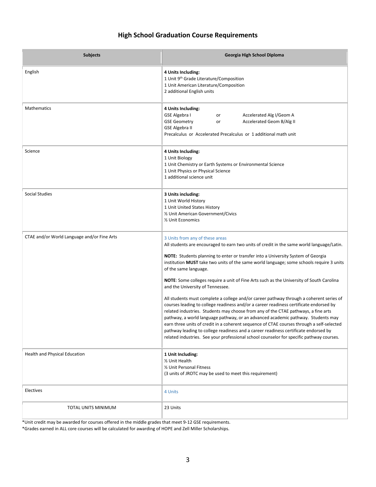# **High School Graduation Course Requirements**

| <b>Subjects</b>                             | Georgia High School Diploma                                                                                                                                                                                                                                                                                                                                                                                                                                                                                                                                                                                                                                                                                                                                                                                                                                                                                                                                                                                                                                                                                                        |
|---------------------------------------------|------------------------------------------------------------------------------------------------------------------------------------------------------------------------------------------------------------------------------------------------------------------------------------------------------------------------------------------------------------------------------------------------------------------------------------------------------------------------------------------------------------------------------------------------------------------------------------------------------------------------------------------------------------------------------------------------------------------------------------------------------------------------------------------------------------------------------------------------------------------------------------------------------------------------------------------------------------------------------------------------------------------------------------------------------------------------------------------------------------------------------------|
| English                                     | 4 Units Including:<br>1 Unit 9th Grade Literature/Composition<br>1 Unit American Literature/Composition<br>2 additional English units                                                                                                                                                                                                                                                                                                                                                                                                                                                                                                                                                                                                                                                                                                                                                                                                                                                                                                                                                                                              |
| <b>Mathematics</b>                          | 4 Units Including:<br>GSE Algebra I<br>Accelerated Alg I/Geom A<br>or<br>Accelerated Geom B/Alg II<br><b>GSE Geometry</b><br>or<br><b>GSE Algebra II</b><br>Precalculus or Accelerated Precalculus or 1 additional math unit                                                                                                                                                                                                                                                                                                                                                                                                                                                                                                                                                                                                                                                                                                                                                                                                                                                                                                       |
| Science                                     | 4 Units Including:<br>1 Unit Biology<br>1 Unit Chemistry or Earth Systems or Environmental Science<br>1 Unit Physics or Physical Science<br>1 additional science unit                                                                                                                                                                                                                                                                                                                                                                                                                                                                                                                                                                                                                                                                                                                                                                                                                                                                                                                                                              |
| <b>Social Studies</b>                       | 3 Units including:<br>1 Unit World History<br>1 Unit United States History<br>1/2 Unit American Government/Civics<br>1/2 Unit Economics                                                                                                                                                                                                                                                                                                                                                                                                                                                                                                                                                                                                                                                                                                                                                                                                                                                                                                                                                                                            |
| CTAE and/or World Language and/or Fine Arts | 3 Units from any of these areas<br>All students are encouraged to earn two units of credit in the same world language/Latin.<br><b>NOTE:</b> Students planning to enter or transfer into a University System of Georgia<br>institution MUST take two units of the same world language; some schools require 3 units<br>of the same language.<br><b>NOTE:</b> Some colleges require a unit of Fine Arts such as the University of South Carolina<br>and the University of Tennessee.<br>All students must complete a college and/or career pathway through a coherent series of<br>courses leading to college readiness and/or a career readiness certificate endorsed by<br>related industries. Students may choose from any of the CTAE pathways, a fine arts<br>pathway, a world language pathway, or an advanced academic pathway. Students may<br>earn three units of credit in a coherent sequence of CTAE courses through a self-selected<br>pathway leading to college readiness and a career readiness certificate endorsed by<br>related industries. See your professional school counselor for specific pathway courses. |
| Health and Physical Education               | 1 Unit Including:<br>1/2 Unit Health<br>1/2 Unit Personal Fitness<br>(3 units of JROTC may be used to meet this requirement)                                                                                                                                                                                                                                                                                                                                                                                                                                                                                                                                                                                                                                                                                                                                                                                                                                                                                                                                                                                                       |
| Electives                                   | 4 Units                                                                                                                                                                                                                                                                                                                                                                                                                                                                                                                                                                                                                                                                                                                                                                                                                                                                                                                                                                                                                                                                                                                            |
| TOTAL UNITS MINIMUM                         | 23 Units                                                                                                                                                                                                                                                                                                                                                                                                                                                                                                                                                                                                                                                                                                                                                                                                                                                                                                                                                                                                                                                                                                                           |

\*Unit credit may be awarded for courses offered in the middle grades that meet 9-12 GSE requirements.

\*Grades earned in ALL core courses will be calculated for awarding of HOPE and Zell Miller Scholarships.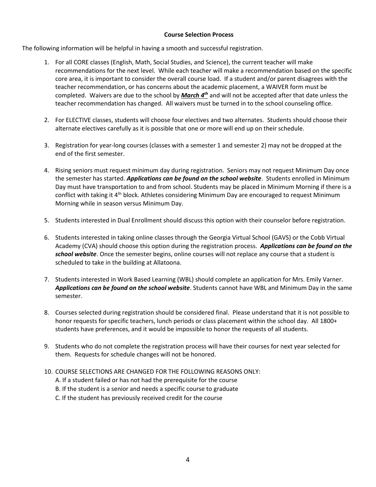# **Course Selection Process**

The following information will be helpful in having a smooth and successful registration.

- 1. For all CORE classes (English, Math, Social Studies, and Science), the current teacher will make recommendations for the next level. While each teacher will make a recommendation based on the specific core area, it is important to consider the overall course load. If a student and/or parent disagrees with the teacher recommendation, or has concerns about the academic placement, a WAIVER form must be completed. Waivers are due to the school by *March 4<sup>th</sup>* and will not be accepted after that date unless the teacher recommendation has changed. All waivers must be turned in to the school counseling office.
- 2. For ELECTIVE classes, students will choose four electives and two alternates. Students should choose their alternate electives carefully as it is possible that one or more will end up on their schedule.
- 3. Registration for year-long courses (classes with a semester 1 and semester 2) may not be dropped at the end of the first semester.
- 4. Rising seniors must request minimum day during registration. Seniors may not request Minimum Day once the semester has started. *Applications can be found on the school website*. Students enrolled in Minimum Day must have transportation to and from school. Students may be placed in Minimum Morning if there is a conflict with taking it 4<sup>th</sup> block. Athletes considering Minimum Day are encouraged to request Minimum Morning while in season versus Minimum Day.
- 5. Students interested in Dual Enrollment should discuss this option with their counselor before registration.
- 6. Students interested in taking online classes through the Georgia Virtual School (GAVS) or the Cobb Virtual Academy (CVA) should choose this option during the registration process. *Applications can be found on the school website*. Once the semester begins, online courses will not replace any course that a student is scheduled to take in the building at Allatoona.
- 7. Students interested in Work Based Learning (WBL) should complete an application for Mrs. Emily Varner. *Applications can be found on the school website*. Students cannot have WBL and Minimum Day in the same semester.
- 8. Courses selected during registration should be considered final. Please understand that it is not possible to honor requests for specific teachers, lunch periods or class placement within the school day. All 1800+ students have preferences, and it would be impossible to honor the requests of all students.
- 9. Students who do not complete the registration process will have their courses for next year selected for them. Requests for schedule changes will not be honored.
- 10. COURSE SELECTIONS ARE CHANGED FOR THE FOLLOWING REASONS ONLY:
	- A. If a student failed or has not had the prerequisite for the course
	- B. If the student is a senior and needs a specific course to graduate
	- C. If the student has previously received credit for the course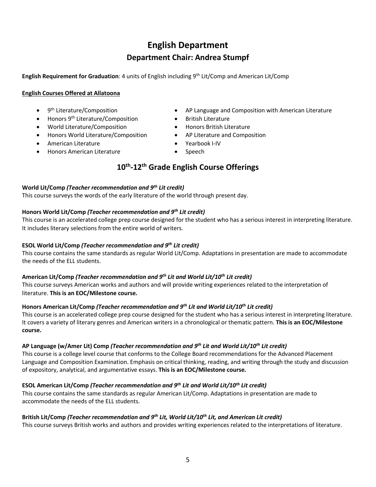# **English Department Department Chair: Andrea Stumpf**

**English Requirement for Graduation**: 4 units of English including 9th Lit/Comp and American Lit/Comp

# **English Courses Offered at Allatoona**

- 9<sup>th</sup> Literature/Composition
- Honors 9<sup>th</sup> Literature/Composition
- World Literature/Composition
- Honors World Literature/Composition
- American Literature
- Honors American Literature
- AP Language and Composition with American Literature
- British Literature
- Honors British Literature
- AP Literature and Composition
- Yearbook I-IV
- Speech

# **10th -12 th Grade English Course Offerings**

# **World Lit/Comp** *(Teacher recommendation and 9th Lit credit)*

This course surveys the words of the early literature of the world through present day.

# **Honors World Lit/Comp** *(Teacher recommendation and 9th Lit credit)*

This course is an accelerated college prep course designed for the student who has a serious interest in interpreting literature. It includes literary selections from the entire world of writers.

# **ESOL World Lit/Comp** *(Teacher recommendation and 9th Lit credit)*

This course contains the same standards as regular World Lit/Comp. Adaptations in presentation are made to accommodate the needs of the ELL students.

# **American Lit/Comp** *(Teacher recommendation and 9th Lit and World Lit/10th Lit credit)*

This course surveys American works and authors and will provide writing experiences related to the interpretation of literature. **This is an EOC/Milestone course.**

# **Honors American Lit/Comp** *(Teacher recommendation and 9th Lit and World Lit/10th Lit credit)*

This course is an accelerated college prep course designed for the student who has a serious interest in interpreting literature. It covers a variety of literary genres and American writers in a chronological or thematic pattern. **This is an EOC/Milestone course.**

# **AP Language (w/Amer Lit) Comp** *(Teacher recommendation and 9th Lit and World Lit/10th Lit credit)*

This course is a college level course that conforms to the College Board recommendations for the Advanced Placement Language and Composition Examination. Emphasis on critical thinking, reading, and writing through the study and discussion of expository, analytical, and argumentative essays. **This is an EOC/Milestone course.**

# **ESOL American Lit/Comp** *(Teacher recommendation and 9th Lit and World Lit/10th Lit credit)*

This course contains the same standards as regular American Lit/Comp. Adaptations in presentation are made to accommodate the needs of the ELL students.

# **British Lit/Comp** *(Teacher recommendation and 9th Lit, World Lit/10th Lit, and American Lit credit)*

This course surveys British works and authors and provides writing experiences related to the interpretations of literature.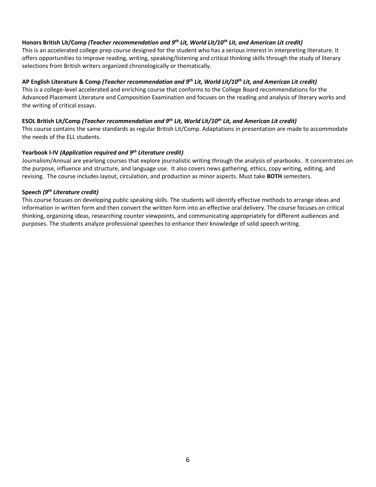# **Honors British Lit/Comp** *(Teacher recommendation and 9th Lit, World Lit/10th Lit, and American Lit credit)*

This is an accelerated college prep course designed for the student who has a serious interest in interpreting literature. It offers opportunities to improve reading, writing, speaking/listening and critical thinking skills through the study of literary selections from British writers organized chronologically or thematically.

# **AP English Literature & Comp** *(Teacher recommendation and 9th Lit, World Lit/10th Lit, and American Lit credit)*

This is a college-level accelerated and enriching course that conforms to the College Board recommendations for the Advanced Placement Literature and Composition Examination and focuses on the reading and analysis of literary works and the writing of critical essays.

#### **ESOL British Lit/Comp** *(Teacher recommendation and 9th Lit, World Lit/10th Lit, and American Lit credit)*

This course contains the same standards as regular British Lit/Comp. Adaptations in presentation are made to accommodate the needs of the ELL students.

# **Yearbook I-IV** *(Application required and 9th Literature credit)*

Journalism/Annual are yearlong courses that explore journalistic writing through the analysis of yearbooks. It concentrates on the purpose, influence and structure, and language use. It also covers news gathering, ethics, copy writing, editing, and revising. The course includes layout, circulation, and production as minor aspects. Must take **BOTH** semesters.

### **Speech** *(9th Literature credit)*

This course focuses on developing public speaking skills. The students will identify effective methods to arrange ideas and information in written form and then convert the written form into an effective oral delivery. The course focuses on critical thinking, organizing ideas, researching counter viewpoints, and communicating appropriately for different audiences and purposes. The students analyze professional speeches to enhance their knowledge of solid speech writing.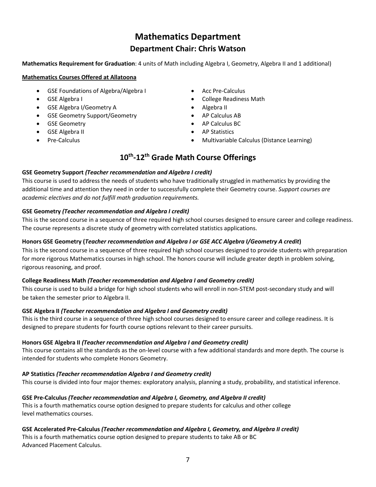# **Mathematics Department Department Chair: Chris Watson**

**Mathematics Requirement for Graduation**: 4 units of Math including Algebra I, Geometry, Algebra II and 1 additional)

# **Mathematics Courses Offered at Allatoona**

- GSE Foundations of Algebra/Algebra I
- GSE Algebra I
- GSE Algebra I/Geometry A
- GSE Geometry Support/Geometry
- GSE Geometry
- GSE Algebra II
- Pre-Calculus
- Acc Pre-Calculus
- College Readiness Math
- Algebra II
- AP Calculus AB
- AP Calculus BC
- AP Statistics
- Multivariable Calculus (Distance Learning)

# **10th -12th Grade Math Course Offerings**

# **GSE Geometry Support** *(Teacher recommendation and Algebra I credit)*

This course is used to address the needs of students who have traditionally struggled in mathematics by providing the additional time and attention they need in order to successfully complete their Geometry course. *Support courses are academic electives and do not fulfill math graduation requirements.*

# **GSE Geometry** *(Teacher recommendation and Algebra I credit)*

This is the second course in a sequence of three required high school courses designed to ensure career and college readiness. The course represents a discrete study of geometry with correlated statistics applications.

# **Honors GSE Geometry (***Teacher recommendation and Algebra I or GSE ACC Algebra I/Geometry A credit***)**

This is the second course in a sequence of three required high school courses designed to provide students with preparation for more rigorous Mathematics courses in high school. The honors course will include greater depth in problem solving, rigorous reasoning, and proof.

# **College Readiness Math** *(Teacher recommendation and Algebra I and Geometry credit)*

This course is used to build a bridge for high school students who will enroll in non-STEM post-secondary study and will be taken the semester prior to Algebra II.

# **GSE Algebra II** *(Teacher recommendation and Algebra I and Geometry credit)*

This is the third course in a sequence of three high school courses designed to ensure career and college readiness. It is designed to prepare students for fourth course options relevant to their career pursuits.

# **Honors GSE Algebra II** *(Teacher recommendation and Algebra I and Geometry credit)*

This course contains all the standards as the on-level course with a few additional standards and more depth. The course is intended for students who complete Honors Geometry.

# **AP Statistics** *(Teacher recommendation Algebra I and Geometry credit)*

This course is divided into four major themes: exploratory analysis, planning a study, probability, and statistical inference.

# **GSE Pre-Calculus** *(Teacher recommendation and Algebra I, Geometry, and Algebra II credit)*

This is a fourth mathematics course option designed to prepare students for calculus and other college level mathematics courses.

# **GSE Accelerated Pre-Calculus** *(Teacher recommendation and Algebra I, Geometry, and Algebra II credit)*

This is a fourth mathematics course option designed to prepare students to take AB or BC Advanced Placement Calculus.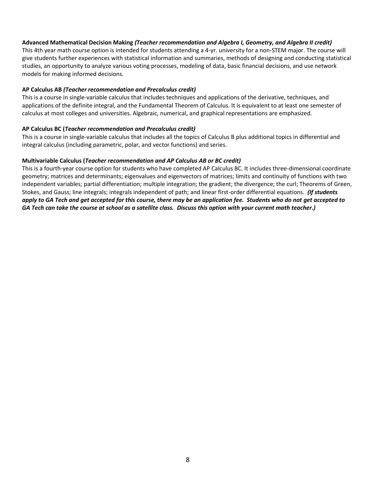# **Advanced Mathematical Decision Making** *(Teacher recommendation and Algebra I, Geometry, and Algebra II credit)*

This 4th year math course option is intended for students attending a 4-yr. university for a non-STEM major. The course will give students further experiences with statistical information and summaries, methods of designing and conducting statistical studies, an opportunity to analyze various voting processes, modeling of data, basic financial decisions, and use network models for making informed decisions.

### **AP Calculus AB** *(Teacher recommendation and Precalculus credit)*

This is a course in single-variable calculus that includes techniques and applications of the derivative, techniques, and applications of the definite integral, and the Fundamental Theorem of Calculus. It is equivalent to at least one semester of calculus at most colleges and universities. Algebraic, numerical, and graphical representations are emphasized.

### **AP Calculus BC (***Teacher recommendation and Precalculus credit)*

This is a course in single-variable calculus that includes all the topics of Calculus B plus additional topics in differential and integral calculus (including parametric, polar, and vector functions) and series.

### **Multivariable Calculus (***Teacher recommendation and AP Calculus AB or BC credit)*

This is a fourth-year course option for students who have completed AP Calculus BC. It includes three-dimensional coordinate geometry; matrices and determinants; eigenvalues and eigenvectors of matrices; limits and continuity of functions with two independent variables; partial differentiation; multiple integration; the gradient; the divergence; the curl; Theorems of Green, Stokes, and Gauss; line integrals; integrals independent of path; and linear first-order differential equations. *(If students apply to GA Tech and get accepted for this course, there may be an application fee.  Students who do not get accepted to GA Tech can take the course at school as a satellite class. Discuss this option with your current math teacher.)*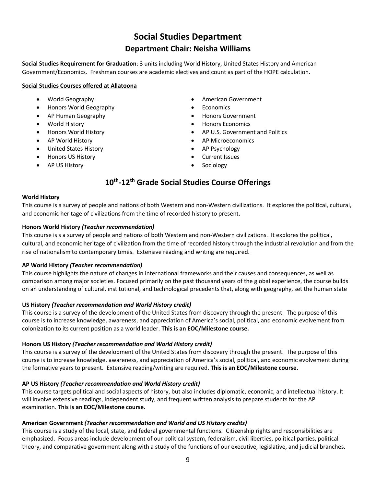# **Social Studies Department Department Chair: Neisha Williams**

**Social Studies Requirement for Graduation**: 3 units including World History, United States History and American Government/Economics. Freshman courses are academic electives and count as part of the HOPE calculation.

# **Social Studies Courses offered at Allatoona**

- World Geography
- Honors World Geography
- AP Human Geography
- World History
- Honors World History
- AP World History
- United States History
- Honors US History
- AP US History
- American Government
- **Fconomics**
- Honors Government
- Honors Economics
- AP U.S. Government and Politics
- AP Microeconomics
- AP Psychology
- Current Issues
- **Sociology**

# **10th -12th Grade Social Studies Course Offerings**

### **World History**

This course is a survey of people and nations of both Western and non-Western civilizations. It explores the political, cultural, and economic heritage of civilizations from the time of recorded history to present.

# **Honors World History** *(Teacher recommendation)*

This course is s a survey of people and nations of both Western and non-Western civilizations. It explores the political, cultural, and economic heritage of civilization from the time of recorded history through the industrial revolution and from the rise of nationalism to contemporary times. Extensive reading and writing are required.

# **AP World History** *(Teacher recommendation)*

This course highlights the nature of changes in international frameworks and their causes and consequences, as well as comparison among major societies. Focused primarily on the past thousand years of the global experience, the course builds on an understanding of cultural, institutional, and technological precedents that, along with geography, set the human state

# **US History** *(Teacher recommendation and World History credit)*

This course is a survey of the development of the United States from discovery through the present. The purpose of this course is to increase knowledge, awareness, and appreciation of America's social, political, and economic evolvement from colonization to its current position as a world leader. **This is an EOC/Milestone course.**

# **Honors US History** *(Teacher recommendation and World History credit)*

This course is a survey of the development of the United States from discovery through the present. The purpose of this course is to increase knowledge, awareness, and appreciation of America's social, political, and economic evolvement during the formative years to present. Extensive reading/writing are required. **This is an EOC/Milestone course.**

# **AP US History** *(Teacher recommendation and World History credit)*

This course targets political and social aspects of history, but also includes diplomatic, economic, and intellectual history. It will involve extensive readings, independent study, and frequent written analysis to prepare students for the AP examination. **This is an EOC/Milestone course.**

# **American Government** *(Teacher recommendation and World and US History credits)*

This course is a study of the local, state, and federal governmental functions. Citizenship rights and responsibilities are emphasized. Focus areas include development of our political system, federalism, civil liberties, political parties, political theory, and comparative government along with a study of the functions of our executive, legislative, and judicial branches.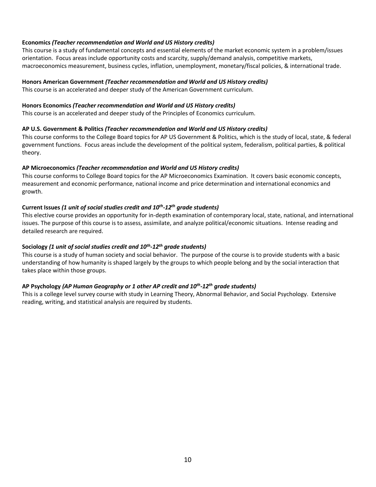# **Economics** *(Teacher recommendation and World and US History credits)*

This course is a study of fundamental concepts and essential elements of the market economic system in a problem/issues orientation. Focus areas include opportunity costs and scarcity, supply/demand analysis, competitive markets, macroeconomics measurement, business cycles, inflation, unemployment, monetary/fiscal policies, & international trade.

# **Honors American Government** *(Teacher recommendation and World and US History credits)*

This course is an accelerated and deeper study of the American Government curriculum.

#### **Honors Economics** *(Teacher recommendation and World and US History credits)*

This course is an accelerated and deeper study of the Principles of Economics curriculum.

### **AP U.S. Government & Politics** *(Teacher recommendation and World and US History credits)*

This course conforms to the College Board topics for AP US Government & Politics, which is the study of local, state, & federal government functions. Focus areas include the development of the political system, federalism, political parties, & political theory.

### **AP Microeconomics** *(Teacher recommendation and World and US History credits)*

This course conforms to College Board topics for the AP Microeconomics Examination. It covers basic economic concepts, measurement and economic performance, national income and price determination and international economics and growth.

# **Current Issues** *(1 unit of social studies credit and 10th -12th grade students)*

This elective course provides an opportunity for in-depth examination of contemporary local, state, national, and international issues. The purpose of this course is to assess, assimilate, and analyze political/economic situations. Intense reading and detailed research are required.

# **Sociology** *(1 unit of social studies credit and 10th -12th grade students)*

This course is a study of human society and social behavior. The purpose of the course is to provide students with a basic understanding of how humanity is shaped largely by the groups to which people belong and by the social interaction that takes place within those groups.

# **AP Psychology** *(AP Human Geography or 1 other AP credit and 10th -12th grade students)*

This is a college level survey course with study in Learning Theory, Abnormal Behavior, and Social Psychology. Extensive reading, writing, and statistical analysis are required by students.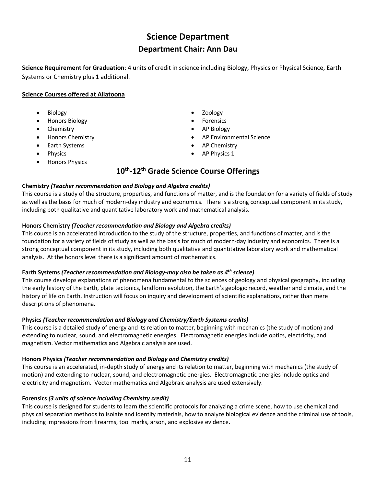# **Science Department Department Chair: Ann Dau**

**Science Requirement for Graduation**: 4 units of credit in science including Biology, Physics or Physical Science, Earth Systems or Chemistry plus 1 additional.

# **Science Courses offered at Allatoona**

- Biology
- Honors Biology
- Chemistry
- Honors Chemistry
- Earth Systems
- Physics
- Honors Physics
- Zoology
- **Forensics**
- AP Biology
- AP Environmental Science
- AP Chemistry
- AP Physics 1

# **10th -12th Grade Science Course Offerings**

# **Chemistry** *(Teacher recommendation and Biology and Algebra credits)*

This course is a study of the structure, properties, and functions of matter, and is the foundation for a variety of fields of study as well as the basis for much of modern-day industry and economics. There is a strong conceptual component in its study, including both qualitative and quantitative laboratory work and mathematical analysis.

# **Honors Chemistry** *(Teacher recommendation and Biology and Algebra credits)*

This course is an accelerated introduction to the study of the structure, properties, and functions of matter, and is the foundation for a variety of fields of study as well as the basis for much of modern-day industry and economics. There is a strong conceptual component in its study, including both qualitative and quantitative laboratory work and mathematical analysis. At the honors level there is a significant amount of mathematics.

# **Earth Systems** *(Teacher recommendation and Biology-may also be taken as 4th science)*

This course develops explanations of phenomena fundamental to the sciences of geology and physical geography, including the early history of the Earth, plate tectonics, landform evolution, the Earth's geologic record, weather and climate, and the history of life on Earth. Instruction will focus on inquiry and development of scientific explanations, rather than mere descriptions of phenomena.

# **Physics** *(Teacher recommendation and Biology and Chemistry/Earth Systems credits)*

This course is a detailed study of energy and its relation to matter, beginning with mechanics (the study of motion) and extending to nuclear, sound, and electromagnetic energies. Electromagnetic energies include optics, electricity, and magnetism. Vector mathematics and Algebraic analysis are used.

# **Honors Physics** *(Teacher recommendation and Biology and Chemistry credits)*

This course is an accelerated, in-depth study of energy and its relation to matter, beginning with mechanics (the study of motion) and extending to nuclear, sound, and electromagnetic energies. Electromagnetic energies include optics and electricity and magnetism. Vector mathematics and Algebraic analysis are used extensively.

# **Forensics** *(3 units of science including Chemistry credit)*

This course is designed for students to learn the scientific protocols for analyzing a crime scene, how to use chemical and physical separation methods to isolate and identify materials, how to analyze biological evidence and the criminal use of tools, including impressions from firearms, tool marks, arson, and explosive evidence.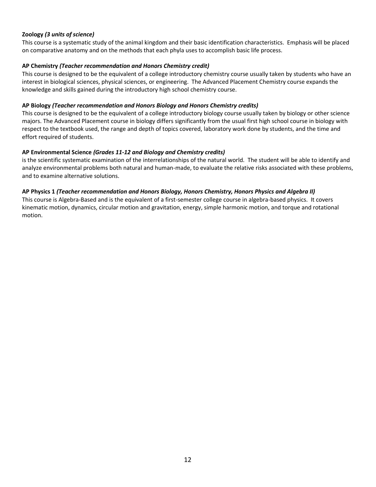# **Zoology** *(3 units of science)*

This course is a systematic study of the animal kingdom and their basic identification characteristics.  Emphasis will be placed on comparative anatomy and on the methods that each phyla uses to accomplish basic life process.

### **AP Chemistry** *(Teacher recommendation and Honors Chemistry credit)*

This course is designed to be the equivalent of a college introductory chemistry course usually taken by students who have an interest in biological sciences, physical sciences, or engineering.  The Advanced Placement Chemistry course expands the knowledge and skills gained during the introductory high school chemistry course. 

#### **AP Biology** *(Teacher recommendation and Honors Biology and Honors Chemistry credits)*

This course is designed to be the equivalent of a college introductory biology course usually taken by biology or other science majors. The Advanced Placement course in biology differs significantly from the usual first high school course in biology with respect to the textbook used, the range and depth of topics covered, laboratory work done by students, and the time and effort required of students.

### **AP Environmental Science** *(Grades 11-12 and Biology and Chemistry credits)*

is the scientific systematic examination of the interrelationships of the natural world. The student will be able to identify and analyze environmental problems both natural and human-made, to evaluate the relative risks associated with these problems, and to examine alternative solutions.

### **AP Physics 1** *(Teacher recommendation and Honors Biology, Honors Chemistry, Honors Physics and Algebra II)*

This course is Algebra-Based and is the equivalent of a first-semester college course in algebra-based physics. It covers kinematic motion, dynamics, circular motion and gravitation, energy, simple harmonic motion, and torque and rotational motion.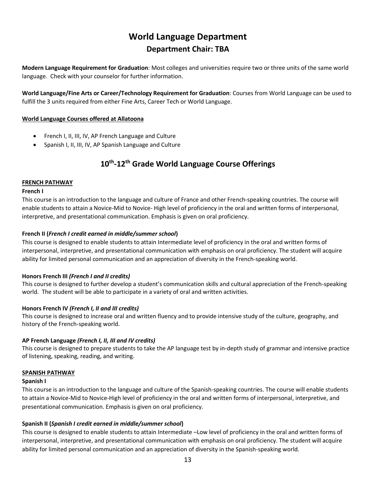# **World Language Department Department Chair: TBA**

**Modern Language Requirement for Graduation**: Most colleges and universities require two or three units of the same world language. Check with your counselor for further information.

**World Language/Fine Arts or Career/Technology Requirement for Graduation**: Courses from World Language can be used to fulfill the 3 units required from either Fine Arts, Career Tech or World Language.

# **World Language Courses offered at Allatoona**

- French I, II, III, IV, AP French Language and Culture
- Spanish I, II, III, IV, AP Spanish Language and Culture

# **10th -12th Grade World Language Course Offerings**

# **FRENCH PATHWAY**

# **French I**

This course is an introduction to the language and culture of France and other French-speaking countries. The course will enable students to attain a Novice-Mid to Novice- High level of proficiency in the oral and written forms of interpersonal, interpretive, and presentational communication. Emphasis is given on oral proficiency.

# **French II (***French I credit earned in middle/summer school***)**

This course is designed to enable students to attain Intermediate level of proficiency in the oral and written forms of interpersonal, interpretive, and presentational communication with emphasis on oral proficiency. The student will acquire ability for limited personal communication and an appreciation of diversity in the French-speaking world.

# **Honors French III** *(French I and II credits)*

This course is designed to further develop a student's communication skills and cultural appreciation of the French-speaking world. The student will be able to participate in a variety of oral and written activities.

# **Honors French IV** *(French I, II and III credits)*

This course is designed to increase oral and written fluency and to provide intensive study of the culture, geography, and history of the French-speaking world.

# **AP French Language** *(French I, II, III and IV credits)*

This course is designed to prepare students to take the AP language test by in-depth study of grammar and intensive practice of listening, speaking, reading, and writing.

# **SPANISH PATHWAY**

#### **Spanish I**

This course is an introduction to the language and culture of the Spanish-speaking countries. The course will enable students to attain a Novice-Mid to Novice-High level of proficiency in the oral and written forms of interpersonal, interpretive, and presentational communication. Emphasis is given on oral proficiency.

# **Spanish II (***Spanish I credit earned in middle/summer school***)**

This course is designed to enable students to attain Intermediate –Low level of proficiency in the oral and written forms of interpersonal, interpretive, and presentational communication with emphasis on oral proficiency. The student will acquire ability for limited personal communication and an appreciation of diversity in the Spanish-speaking world.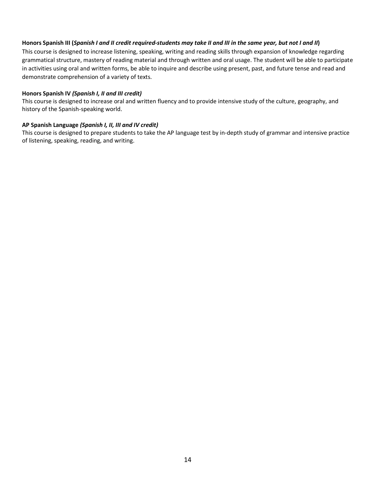### **Honors Spanish III (***Spanish I and II credit required-students may take II and III in the same year, but not I and II***)**

This course is designed to increase listening, speaking, writing and reading skills through expansion of knowledge regarding grammatical structure, mastery of reading material and through written and oral usage. The student will be able to participate in activities using oral and written forms, be able to inquire and describe using present, past, and future tense and read and demonstrate comprehension of a variety of texts.

#### **Honors Spanish IV** *(Spanish I, II and III credit)*

This course is designed to increase oral and written fluency and to provide intensive study of the culture, geography, and history of the Spanish-speaking world.

### **AP Spanish Language** *(Spanish I, II, III and IV credit)*

This course is designed to prepare students to take the AP language test by in-depth study of grammar and intensive practice of listening, speaking, reading, and writing.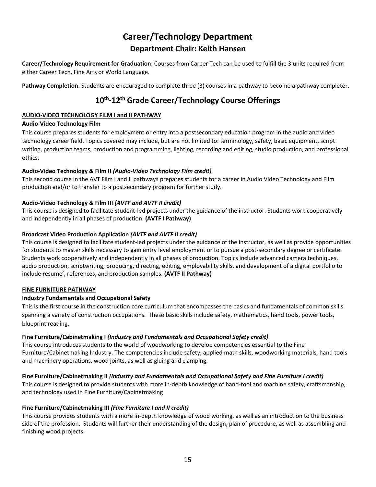# **Career/Technology Department Department Chair: Keith Hansen**

**Career/Technology Requirement for Graduation**: Courses from Career Tech can be used to fulfill the 3 units required from either Career Tech, Fine Arts or World Language.

**Pathway Completion**: Students are encouraged to complete three (3) courses in a pathway to become a pathway completer.

# **10th -12th Grade Career/Technology Course Offerings**

# **AUDIO-VIDEO TECHNOLOGY FILM I and II PATHWAY**

# **Audio-Video Technology Film**

This course prepares students for employment or entry into a postsecondary education program in the audio and video technology career field. Topics covered may include, but are not limited to: terminology, safety, basic equipment, script writing, production teams, production and programming, lighting, recording and editing, studio production, and professional ethics.

# **Audio-Video Technology & Film II** *(Audio-Video Technology Film credit)*

This second course in the AVT Film I and II pathways prepares students for a career in Audio Video Technology and Film production and/or to transfer to a postsecondary program for further study.

# **Audio-Video Technology & Film III** *(AVTF and AVTF II credit)*

This course is designed to facilitate student-led projects under the guidance of the instructor. Students work cooperatively and independently in all phases of production. **(AVTF I Pathway)**

# **Broadcast Video Production Application** *(AVTF and AVTF II credit)*

This course is designed to facilitate student-led projects under the guidance of the instructor, as well as provide opportunities for students to master skills necessary to gain entry level employment or to pursue a post-secondary degree or certificate. Students work cooperatively and independently in all phases of production. Topics include advanced camera techniques, audio production, scriptwriting, producing, directing, editing, employability skills, and development of a digital portfolio to include resume', references, and production samples. **(AVTF II Pathway)**

# **FINE FURNITURE PATHWAY**

# **Industry Fundamentals and Occupational Safety**

This is the first course in the construction core curriculum that encompasses the basics and fundamentals of common skills spanning a variety of construction occupations. These basic skills include safety, mathematics, hand tools, power tools, blueprint reading.

# **Fine Furniture/Cabinetmaking I** *(Industry and Fundamentals and Occupational Safety credit)*

This course introduces students to the world of woodworking to develop competencies essential to the Fine Furniture/Cabinetmaking Industry. The competencies include safety, applied math skills, woodworking materials, hand tools and machinery operations, wood joints, as well as gluing and clamping.

# **Fine Furniture/Cabinetmaking II** *(Industry and Fundamentals and Occupational Safety and Fine Furniture I credit)*

This course is designed to provide students with more in-depth knowledge of hand-tool and machine safety, craftsmanship, and technology used in Fine Furniture/Cabinetmaking

# **Fine Furniture/Cabinetmaking III** *(Fine Furniture I and II credit)*

This course provides students with a more in-depth knowledge of wood working, as well as an introduction to the business side of the profession. Students will further their understanding of the design, plan of procedure, as well as assembling and finishing wood projects.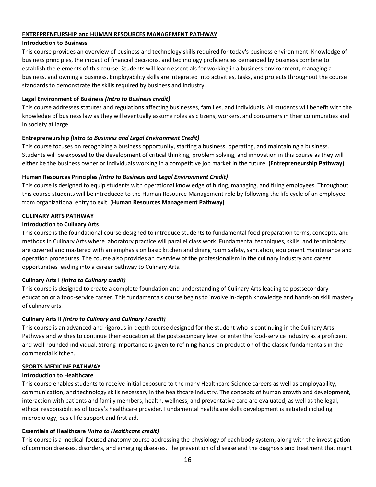#### **ENTREPRENEURSHIP and HUMAN RESOURCES MANAGEMENT PATHWAY**

# **Introduction to Business**

This course provides an overview of business and technology skills required for today's business environment. Knowledge of business principles, the impact of financial decisions, and technology proficiencies demanded by business combine to establish the elements of this course. Students will learn essentials for working in a business environment, managing a business, and owning a business. Employability skills are integrated into activities, tasks, and projects throughout the course standards to demonstrate the skills required by business and industry.

# **Legal Environment of Business** *(Intro to Business credit)*

This course addresses statutes and regulations affecting businesses, families, and individuals. All students will benefit with the knowledge of business law as they will eventually assume roles as citizens, workers, and consumers in their communities and in society at large

# **Entrepreneurship** *(Intro to Business and Legal Environment Credit)*

This course focuses on recognizing a business opportunity, starting a business, operating, and maintaining a business. Students will be exposed to the development of critical thinking, problem solving, and innovation in this course as they will either be the business owner or individuals working in a competitive job market in the future. **(Entrepreneurship Pathway)**

# **Human Resources Principles** *(Intro to Business and Legal Environment Credit)*

This course is designed to equip students with operational knowledge of hiring, managing, and firing employees. Throughout this course students will be introduced to the Human Resource Management role by following the life cycle of an employee from organizational entry to exit. (**Human Resources Management Pathway)**

# **CULINARY ARTS PATHWAY**

# **Introduction to Culinary Arts**

This course is the foundational course designed to introduce students to fundamental food preparation terms, concepts, and methods in Culinary Arts where laboratory practice will parallel class work. Fundamental techniques, skills, and terminology are covered and mastered with an emphasis on basic kitchen and dining room safety, sanitation, equipment maintenance and operation procedures. The course also provides an overview of the professionalism in the culinary industry and career opportunities leading into a career pathway to Culinary Arts.

# **Culinary Arts I** *(Intro to Culinary credit)*

This course is designed to create a complete foundation and understanding of Culinary Arts leading to postsecondary education or a food-service career. This fundamentals course begins to involve in-depth knowledge and hands-on skill mastery of culinary arts.

# **Culinary Arts II** *(Intro to Culinary and Culinary I credit)*

This course is an advanced and rigorous in-depth course designed for the student who is continuing in the Culinary Arts Pathway and wishes to continue their education at the postsecondary level or enter the food-service industry as a proficient and well-rounded individual. Strong importance is given to refining hands-on production of the classic fundamentals in the commercial kitchen.

# **SPORTS MEDICINE PATHWAY**

# **Introduction to Healthcare**

This course enables students to receive initial exposure to the many Healthcare Science careers as well as employability, communication, and technology skills necessary in the healthcare industry. The concepts of human growth and development, interaction with patients and family members, health, wellness, and preventative care are evaluated, as well as the legal, ethical responsibilities of today's healthcare provider. Fundamental healthcare skills development is initiated including microbiology, basic life support and first aid.

# **Essentials of Healthcare** *(Intro to Healthcare credit)*

This course is a medical-focused anatomy course addressing the physiology of each body system, along with the investigation of common diseases, disorders, and emerging diseases. The prevention of disease and the diagnosis and treatment that might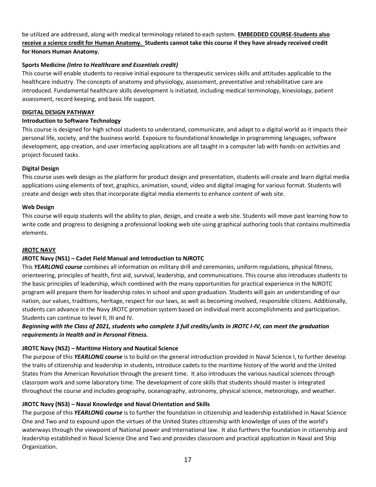be utilized are addressed, along with medical terminology related to each system. **EMBEDDED COURSE-Students also receive a science credit for Human Anatomy. Students cannot take this course if they have already received credit for Honors Human Anatomy.**

# **Sports Medicine** *(Intro to Healthcare and Essentials credit)*

This course will enable students to receive initial exposure to therapeutic services skills and attitudes applicable to the healthcare industry. The concepts of anatomy and physiology, assessment, preventative and rehabilitative care are introduced. Fundamental healthcare skills development is initiated, including medical terminology, kinesiology, patient assessment, record keeping, and basic life support.

# **DIGITAL DESIGN PATHWAY**

# **Introduction to Software Technology**

This course is designed for high school students to understand, communicate, and adapt to a digital world as it impacts their personal life, society, and the business world. Exposure to foundational knowledge in programming languages, software development, app creation, and user interfacing applications are all taught in a computer lab with hands-on activities and project-focused tasks.

# **Digital Design**

This course uses web design as the platform for product design and presentation, students will create and learn digital media applications using elements of text, graphics, animation, sound, video and digital imaging for various format. Students will create and design web sites that incorporate digital media elements to enhance content of web site.

# **Web Design**

This course will equip students will the ability to plan, design, and create a web site. Students will move past learning how to write code and progress to designing a professional looking web site using graphical authoring tools that contains multimedia elements.

# **JROTC NAVY**

# **JROTC Navy (NS1) – Cadet Field Manual and Introduction to NJROTC**

This *YEARLONG course* combines all information on military drill and ceremonies, uniform regulations, physical fitness, orienteering, principles of health, first aid, survival, leadership, and communications. This course also introduces students to the basic principles of leadership, which combined with the many opportunities for practical experience in the NJROTC program will prepare them for leadership roles in school and upon graduation. Students will gain an understanding of our nation, our values, traditions, heritage, respect for our laws, as well as becoming involved, responsible citizens. Additionally, students can advance in the Navy JROTC promotion system based on individual merit accomplishments and participation. Students can continue to level II, III and IV.

# *Beginning with the Class of 2021, students who complete 3 full credits/units in JROTC I-IV, can meet the graduation requirements in Health and in Personal Fitness.*

# **JROTC Navy (NS2) – Maritime History and Nautical Science**

The purpose of this *YEARLONG course* is to build on the general introduction provided in Naval Science I, to further develop the traits of citizenship and leadership in students, introduce cadets to the maritime history of the world and the United States from the American Revolution through the present time. It also introduces the various nautical sciences through classroom work and some laboratory time. The development of core skills that students should master is integrated throughout the course and includes geography, oceanography, astronomy, physical science, meteorology, and weather.

# **JROTC Navy (NS3) – Naval Knowledge and Naval Orientation and Skills**

The purpose of this *YEARLONG course* is to further the foundation in citizenship and leadership established in Naval Science One and Two and to expound upon the virtues of the United States citizenship with knowledge of uses of the world's waterways through the viewpoint of National power and International law. It also furthers the foundation in citizenship and leadership established in Naval Science One and Two and provides classroom and practical application in Naval and Ship Organization.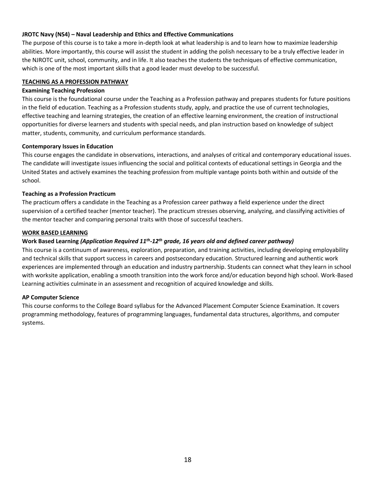# **JROTC Navy (NS4) – Naval Leadership and Ethics and Effective Communications**

The purpose of this course is to take a more in-depth look at what leadership is and to learn how to maximize leadership abilities. More importantly, this course will assist the student in adding the polish necessary to be a truly effective leader in the NJROTC unit, school, community, and in life. It also teaches the students the techniques of effective communication, which is one of the most important skills that a good leader must develop to be successful.

### **TEACHING AS A PROFESSION PATHWAY**

#### **Examining Teaching Profession**

This course is the foundational course under the Teaching as a Profession pathway and prepares students for future positions in the field of education. Teaching as a Profession students study, apply, and practice the use of current technologies, effective teaching and learning strategies, the creation of an effective learning environment, the creation of instructional opportunities for diverse learners and students with special needs, and plan instruction based on knowledge of subject matter, students, community, and curriculum performance standards.

#### **Contemporary Issues in Education**

This course engages the candidate in observations, interactions, and analyses of critical and contemporary educational issues. The candidate will investigate issues influencing the social and political contexts of educational settings in Georgia and the United States and actively examines the teaching profession from multiple vantage points both within and outside of the school.

### **Teaching as a Profession Practicum**

The practicum offers a candidate in the Teaching as a Profession career pathway a field experience under the direct supervision of a certified teacher (mentor teacher). The practicum stresses observing, analyzing, and classifying activities of the mentor teacher and comparing personal traits with those of successful teachers.

#### **WORK BASED LEARNING**

# **Work Based Learning** *(Application Required 11th -12th grade, 16 years old and defined career pathway)*

This course is a continuum of awareness, exploration, preparation, and training activities, including developing employability and technical skills that support success in careers and postsecondary education. Structured learning and authentic work experiences are implemented through an education and industry partnership. Students can connect what they learn in school with worksite application, enabling a smooth transition into the work force and/or education beyond high school. Work-Based Learning activities culminate in an assessment and recognition of acquired knowledge and skills.

#### **AP Computer Science**

This course conforms to the College Board syllabus for the Advanced Placement Computer Science Examination. It covers programming methodology, features of programming languages, fundamental data structures, algorithms, and computer systems.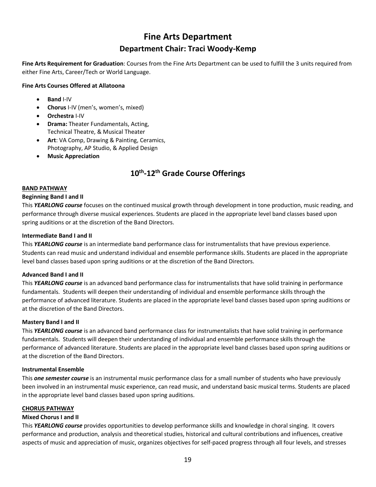# **Fine Arts Department Department Chair: Traci Woody-Kemp**

**Fine Arts Requirement for Graduation**: Courses from the Fine Arts Department can be used to fulfill the 3 units required from either Fine Arts, Career/Tech or World Language.

# **Fine Arts Courses Offered at Allatoona**

- **Band** I-IV
- **Chorus** I-IV (men's, women's, mixed)
- **Orchestra** I-IV
- **Drama:** Theater Fundamentals, Acting, Technical Theatre, & Musical Theater
- **Art**: VA Comp, Drawing & Painting, Ceramics, Photography, AP Studio, & Applied Design
- **Music Appreciation**

# **10th -12th Grade Course Offerings**

### **BAND PATHWAY**

### **Beginning Band I and II**

This *YEARLONG course* focuses on the continued musical growth through development in tone production, music reading, and performance through diverse musical experiences. Students are placed in the appropriate level band classes based upon spring auditions or at the discretion of the Band Directors.

### **Intermediate Band I and II**

This *YEARLONG course* is an intermediate band performance class for instrumentalists that have previous experience. Students can read music and understand individual and ensemble performance skills. Students are placed in the appropriate level band classes based upon spring auditions or at the discretion of the Band Directors.

#### **Advanced Band I and II**

This *YEARLONG course* is an advanced band performance class for instrumentalists that have solid training in performance fundamentals. Students will deepen their understanding of individual and ensemble performance skills through the performance of advanced literature. Students are placed in the appropriate level band classes based upon spring auditions or at the discretion of the Band Directors.

#### **Mastery Band I and II**

This *YEARLONG course* is an advanced band performance class for instrumentalists that have solid training in performance fundamentals. Students will deepen their understanding of individual and ensemble performance skills through the performance of advanced literature. Students are placed in the appropriate level band classes based upon spring auditions or at the discretion of the Band Directors.

#### **Instrumental Ensemble**

This *one semester course* is an instrumental music performance class for a small number of students who have previously been involved in an instrumental music experience, can read music, and understand basic musical terms. Students are placed in the appropriate level band classes based upon spring auditions.

#### **CHORUS PATHWAY**

# **Mixed Chorus I and II**

This *YEARLONG course* provides opportunities to develop performance skills and knowledge in choral singing. It covers performance and production, analysis and theoretical studies, historical and cultural contributions and influences, creative aspects of music and appreciation of music, organizes objectives for self-paced progress through all four levels, and stresses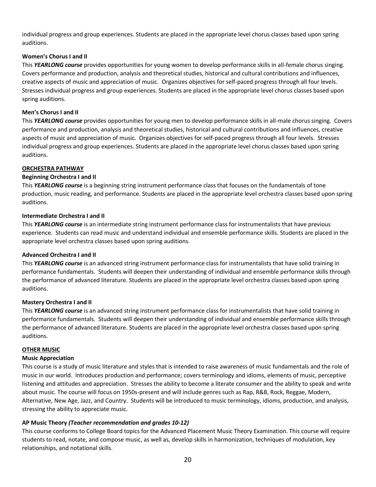individual progress and group experiences. Students are placed in the appropriate level chorus classes based upon spring auditions.

### **Women's Chorus I and II**

This *YEARLONG course* provides opportunities for young women to develop performance skills in all-female chorus singing. Covers performance and production, analysis and theoretical studies, historical and cultural contributions and influences, creative aspects of music and appreciation of music. Organizes objectives for self-paced progress through all four levels. Stresses individual progress and group experiences. Students are placed in the appropriate level chorus classes based upon spring auditions.

### **Men's Chorus I and II**

This *YEARLONG course* provides opportunities for young men to develop performance skills in all-male chorus singing. Covers performance and production, analysis and theoretical studies, historical and cultural contributions and influences, creative aspects of music and appreciation of music. Organizes objectives for self-paced progress through all four levels. Stresses individual progress and group experiences. Students are placed in the appropriate level chorus classes based upon spring auditions.

#### **ORCHESTRA PATHWAY**

#### **Beginning Orchestra I and II**

This *YEARLONG course* is a beginning string instrument performance class that focuses on the fundamentals of tone production, music reading, and performance. Students are placed in the appropriate level orchestra classes based upon spring auditions.

#### **Intermediate Orchestra I and II**

This *YEARLONG course* is an intermediate string instrument performance class for instrumentalists that have previous experience. Students can read music and understand individual and ensemble performance skills. Students are placed in the appropriate level orchestra classes based upon spring auditions.

#### **Advanced Orchestra I and II**

This *YEARLONG course* is an advanced string instrument performance class for instrumentalists that have solid training in performance fundamentals. Students will deepen their understanding of individual and ensemble performance skills through the performance of advanced literature. Students are placed in the appropriate level orchestra classes based upon spring auditions.

#### **Mastery Orchestra I and II**

This *YEARLONG course* is an advanced string instrument performance class for instrumentalists that have solid training in performance fundamentals. Students will deepen their understanding of individual and ensemble performance skills through the performance of advanced literature. Students are placed in the appropriate level orchestra classes based upon spring auditions.

#### **OTHER MUSIC**

#### **Music Appreciation**

This course is a study of music literature and styles that is intended to raise awareness of music fundamentals and the role of music in our world. Introduces production and performance; covers terminology and idioms, elements of music, perceptive listening and attitudes and appreciation. Stresses the ability to become a literate consumer and the ability to speak and write about music. The course will focus on 1950s-present and will include genres such as Rap, R&B, Rock, Reggae, Modern, Alternative, New Age, Jazz, and Country. Students will be introduced to music terminology, idioms, production, and analysis, stressing the ability to appreciate music.

# **AP Music Theory** *(Teacher recommendation and grades 10-12)*

This course conforms to College Board topics for the Advanced Placement Music Theory Examination. This course will require students to read, notate, and compose music, as well as, develop skills in harmonization, techniques of modulation, key relationships, and notational skills.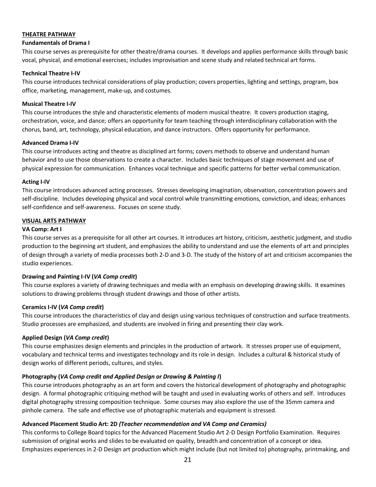### **THEATRE PATHWAY**

#### **Fundamentals of Drama I**

This course serves as prerequisite for other theatre/drama courses. It develops and applies performance skills through basic vocal, physical, and emotional exercises; includes improvisation and scene study and related technical art forms.

### **Technical Theatre I-IV**

This course introduces technical considerations of play production; covers properties, lighting and settings, program, box office, marketing, management, make-up, and costumes.

### **Musical Theatre I-IV**

This course introduces the style and characteristic elements of modern musical theatre. It covers production staging, orchestration, voice, and dance; offers an opportunity for team teaching through interdisciplinary collaboration with the chorus, band, art, technology, physical education, and dance instructors. Offers opportunity for performance.

### **Advanced Drama I-IV**

This course introduces acting and theatre as disciplined art forms; covers methods to observe and understand human behavior and to use those observations to create a character. Includes basic techniques of stage movement and use of physical expression for communication. Enhances vocal technique and specific patterns for better verbal communication.

### **Acting I-IV**

This course introduces advanced acting processes. Stresses developing imagination, observation, concentration powers and self-discipline. Includes developing physical and vocal control while transmitting emotions, conviction, and ideas; enhances self-confidence and self-awareness. Focuses on scene study.

### **VISUAL ARTS PATHWAY**

### **VA Comp: Art I**

This course serves as a prerequisite for all other art courses. It introduces art history, criticism, aesthetic judgment, and studio production to the beginning art student, and emphasizes the ability to understand and use the elements of art and principles of design through a variety of media processes both 2-D and 3-D. The study of the history of art and criticism accompanies the studio experiences.

# **Drawing and Painting I-IV (***VA Comp credit***)**

This course explores a variety of drawing techniques and media with an emphasis on developing drawing skills. It examines solutions to drawing problems through student drawings and those of other artists.

# **Ceramics I-IV (***VA Comp credit***)**

This course introduces the characteristics of clay and design using various techniques of construction and surface treatments. Studio processes are emphasized, and students are involved in firing and presenting their clay work.

# **Applied Design (***VA Comp credit***)**

This course emphasizes design elements and principles in the production of artwork. It stresses proper use of equipment, vocabulary and technical terms and investigates technology and its role in design. Includes a cultural & historical study of design works of different periods, cultures, and styles.

# **Photography (***VA Comp credit and Applied Design or Drawing & Painting I***)**

This course introduces photography as an art form and covers the historical development of photography and photographic design. A formal photographic critiquing method will be taught and used in evaluating works of others and self. Introduces digital photography stressing composition technique. Some courses may also explore the use of the 35mm camera and pinhole camera. The safe and effective use of photographic materials and equipment is stressed.

# **Advanced Placement Studio Art: 2D** *(Teacher recommendation and VA Comp and Ceramics)*

This conforms to College Board topics for the Advanced Placement Studio Art 2-D Design Portfolio Examination. Requires submission of original works and slides to be evaluated on quality, breadth and concentration of a concept or idea. Emphasizes experiences in 2-D Design art production which might include (but not limited to) photography, printmaking, and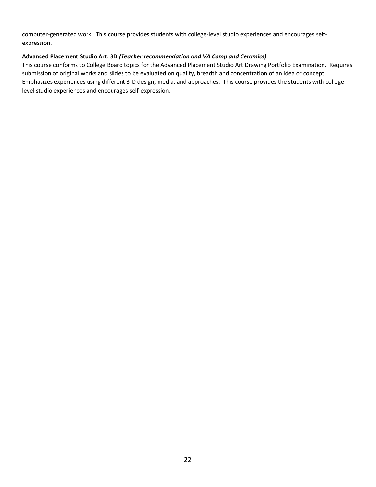computer-generated work. This course provides students with college-level studio experiences and encourages selfexpression.

# **Advanced Placement Studio Art: 3D** *(Teacher recommendation and VA Comp and Ceramics)*

This course conforms to College Board topics for the Advanced Placement Studio Art Drawing Portfolio Examination. Requires submission of original works and slides to be evaluated on quality, breadth and concentration of an idea or concept. Emphasizes experiences using different 3-D design, media, and approaches. This course provides the students with college level studio experiences and encourages self-expression.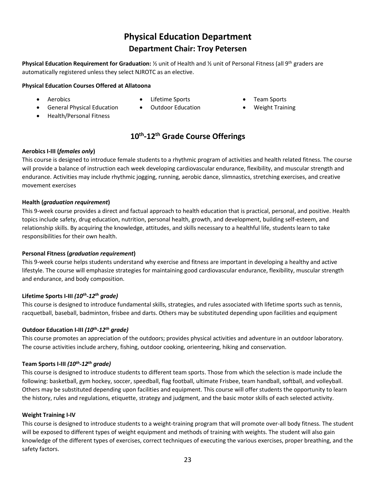# **Physical Education Department Department Chair: Troy Petersen**

**Physical Education Requirement for Graduation:** ½ unit of Health and ½ unit of Personal Fitness (all 9th graders are automatically registered unless they select NJROTC as an elective.

# **Physical Education Courses Offered at Allatoona**

• Aerobics

- Lifetime Sports
- Team Sports
- General Physical Education
- Health/Personal Fitness
- Outdoor Education
- Weight Training
- **10th -12th Grade Course Offerings**

### **Aerobics I-III (***females only***)**

This course is designed to introduce female students to a rhythmic program of activities and health related fitness. The course will provide a balance of instruction each week developing cardiovascular endurance, flexibility, and muscular strength and endurance. Activities may include rhythmic jogging, running, aerobic dance, slimnastics, stretching exercises, and creative movement exercises

### **Health (***graduation requirement***)**

This 9-week course provides a direct and factual approach to health education that is practical, personal, and positive. Health topics include safety, drug education, nutrition, personal health, growth, and development, building self-esteem, and relationship skills. By acquiring the knowledge, attitudes, and skills necessary to a healthful life, students learn to take responsibilities for their own health.

# **Personal Fitness (***graduation requirement***)**

This 9-week course helps students understand why exercise and fitness are important in developing a healthy and active lifestyle. The course will emphasize strategies for maintaining good cardiovascular endurance, flexibility, muscular strength and endurance, and body composition.

# **Lifetime Sports I-III** *(10th -12th grade)*

This course is designed to introduce fundamental skills, strategies, and rules associated with lifetime sports such as tennis, racquetball, baseball, badminton, frisbee and darts. Others may be substituted depending upon facilities and equipment

# **Outdoor Education I-III** *(10th -12th grade)*

This course promotes an appreciation of the outdoors; provides physical activities and adventure in an outdoor laboratory. The course activities include archery, fishing, outdoor cooking, orienteering, hiking and conservation.

# **Team Sports I-III** *(10th -12th grade)*

This course is designed to introduce students to different team sports. Those from which the selection is made include the following: basketball, gym hockey, soccer, speedball, flag football, ultimate Frisbee, team handball, softball, and volleyball. Others may be substituted depending upon facilities and equipment. This course will offer students the opportunity to learn the history, rules and regulations, etiquette, strategy and judgment, and the basic motor skills of each selected activity.

#### **Weight Training I-IV**

This course is designed to introduce students to a weight-training program that will promote over-all body fitness. The student will be exposed to different types of weight equipment and methods of training with weights. The student will also gain knowledge of the different types of exercises, correct techniques of executing the various exercises, proper breathing, and the safety factors.